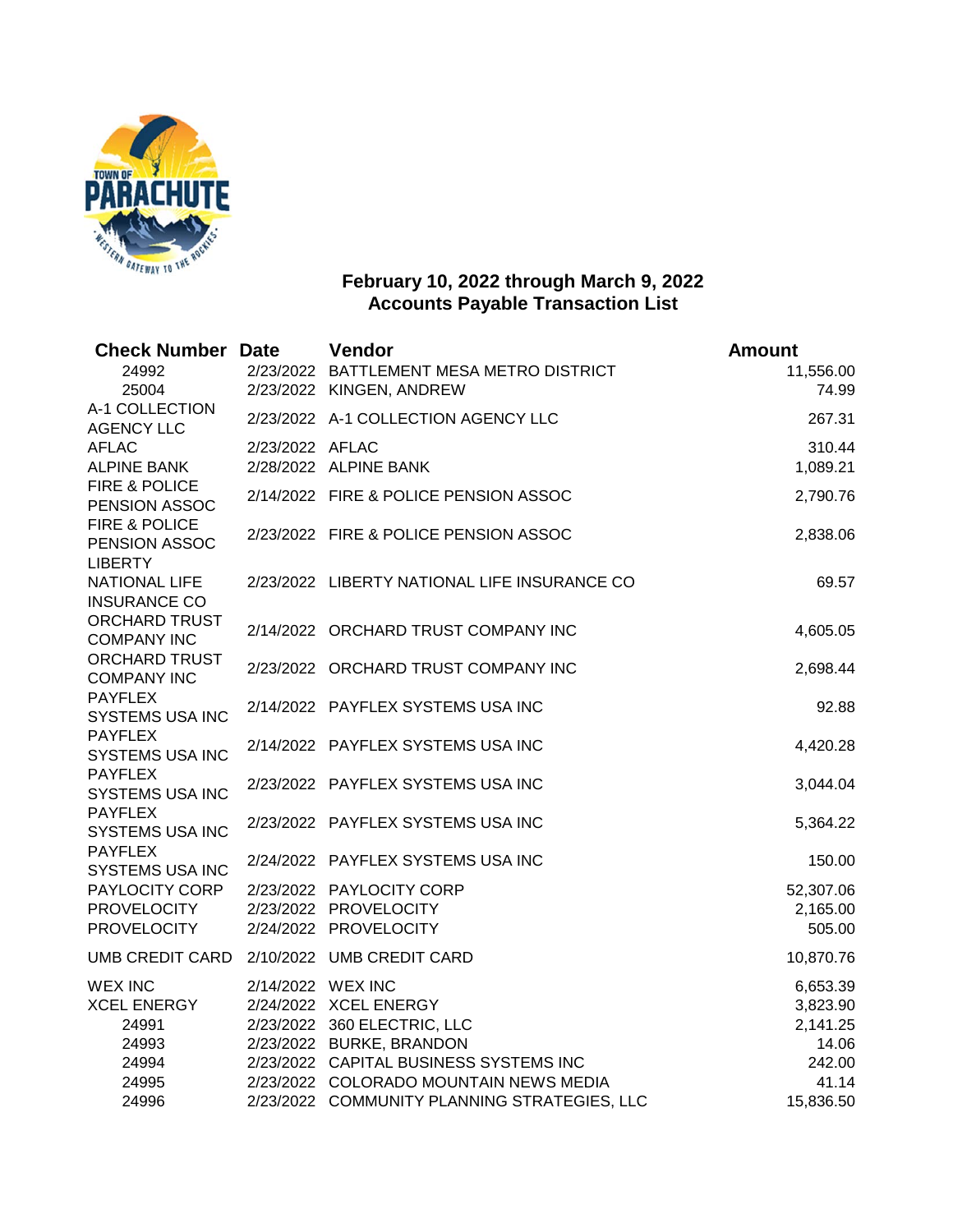

## **February 10, 2022 through March 9, 2022 Accounts Payable Transaction List**

| <b>Check Number Date</b>                                                                    |                   | Vendor                                                                                                                     | <b>Amount</b>                                       |
|---------------------------------------------------------------------------------------------|-------------------|----------------------------------------------------------------------------------------------------------------------------|-----------------------------------------------------|
| 24992<br>25004<br>A-1 COLLECTION<br><b>AGENCY LLC</b><br><b>AFLAC</b><br><b>ALPINE BANK</b> |                   | 2/23/2022 BATTLEMENT MESA METRO DISTRICT<br>2/23/2022 KINGEN, ANDREW                                                       | 11,556.00<br>74.99                                  |
|                                                                                             |                   | 2/23/2022 A-1 COLLECTION AGENCY LLC                                                                                        | 267.31                                              |
|                                                                                             | 2/23/2022 AFLAC   | 2/28/2022 ALPINE BANK                                                                                                      | 310.44<br>1,089.21                                  |
| FIRE & POLICE<br>PENSION ASSOC                                                              |                   | 2/14/2022 FIRE & POLICE PENSION ASSOC                                                                                      | 2,790.76                                            |
| FIRE & POLICE<br>PENSION ASSOC<br><b>LIBERTY</b>                                            |                   | 2/23/2022 FIRE & POLICE PENSION ASSOC                                                                                      | 2,838.06                                            |
| <b>NATIONAL LIFE</b><br><b>INSURANCE CO</b>                                                 |                   | 2/23/2022 LIBERTY NATIONAL LIFE INSURANCE CO                                                                               | 69.57                                               |
| <b>ORCHARD TRUST</b><br><b>COMPANY INC</b>                                                  |                   | 2/14/2022 ORCHARD TRUST COMPANY INC                                                                                        | 4,605.05                                            |
| <b>ORCHARD TRUST</b><br><b>COMPANY INC</b>                                                  |                   | 2/23/2022 ORCHARD TRUST COMPANY INC                                                                                        | 2,698.44                                            |
| <b>PAYFLEX</b><br><b>SYSTEMS USA INC</b>                                                    |                   | 2/14/2022 PAYFLEX SYSTEMS USA INC                                                                                          | 92.88                                               |
| <b>PAYFLEX</b><br><b>SYSTEMS USA INC</b>                                                    |                   | 2/14/2022 PAYFLEX SYSTEMS USA INC                                                                                          | 4,420.28                                            |
| <b>PAYFLEX</b><br><b>SYSTEMS USA INC</b>                                                    |                   | 2/23/2022 PAYFLEX SYSTEMS USA INC                                                                                          | 3,044.04                                            |
| <b>PAYFLEX</b><br><b>SYSTEMS USA INC</b>                                                    |                   | 2/23/2022 PAYFLEX SYSTEMS USA INC                                                                                          | 5,364.22                                            |
| <b>PAYFLEX</b><br><b>SYSTEMS USA INC</b>                                                    |                   | 2/24/2022 PAYFLEX SYSTEMS USA INC                                                                                          | 150.00                                              |
| PAYLOCITY CORP<br><b>PROVELOCITY</b><br><b>PROVELOCITY</b>                                  |                   | 2/23/2022 PAYLOCITY CORP<br>2/23/2022 PROVELOCITY<br>2/24/2022 PROVELOCITY                                                 | 52,307.06<br>2,165.00<br>505.00                     |
| UMB CREDIT CARD                                                                             |                   | 2/10/2022 UMB CREDIT CARD                                                                                                  | 10,870.76                                           |
| <b>WEX INC</b><br><b>XCEL ENERGY</b><br>24991<br>24993<br>24994                             | 2/14/2022 WEX INC | 2/24/2022 XCEL ENERGY<br>2/23/2022 360 ELECTRIC, LLC<br>2/23/2022 BURKE, BRANDON<br>2/23/2022 CAPITAL BUSINESS SYSTEMS INC | 6,653.39<br>3,823.90<br>2,141.25<br>14.06<br>242.00 |
| 24995<br>24996                                                                              |                   | 2/23/2022 COLORADO MOUNTAIN NEWS MEDIA<br>2/23/2022 COMMUNITY PLANNING STRATEGIES, LLC                                     | 41.14<br>15,836.50                                  |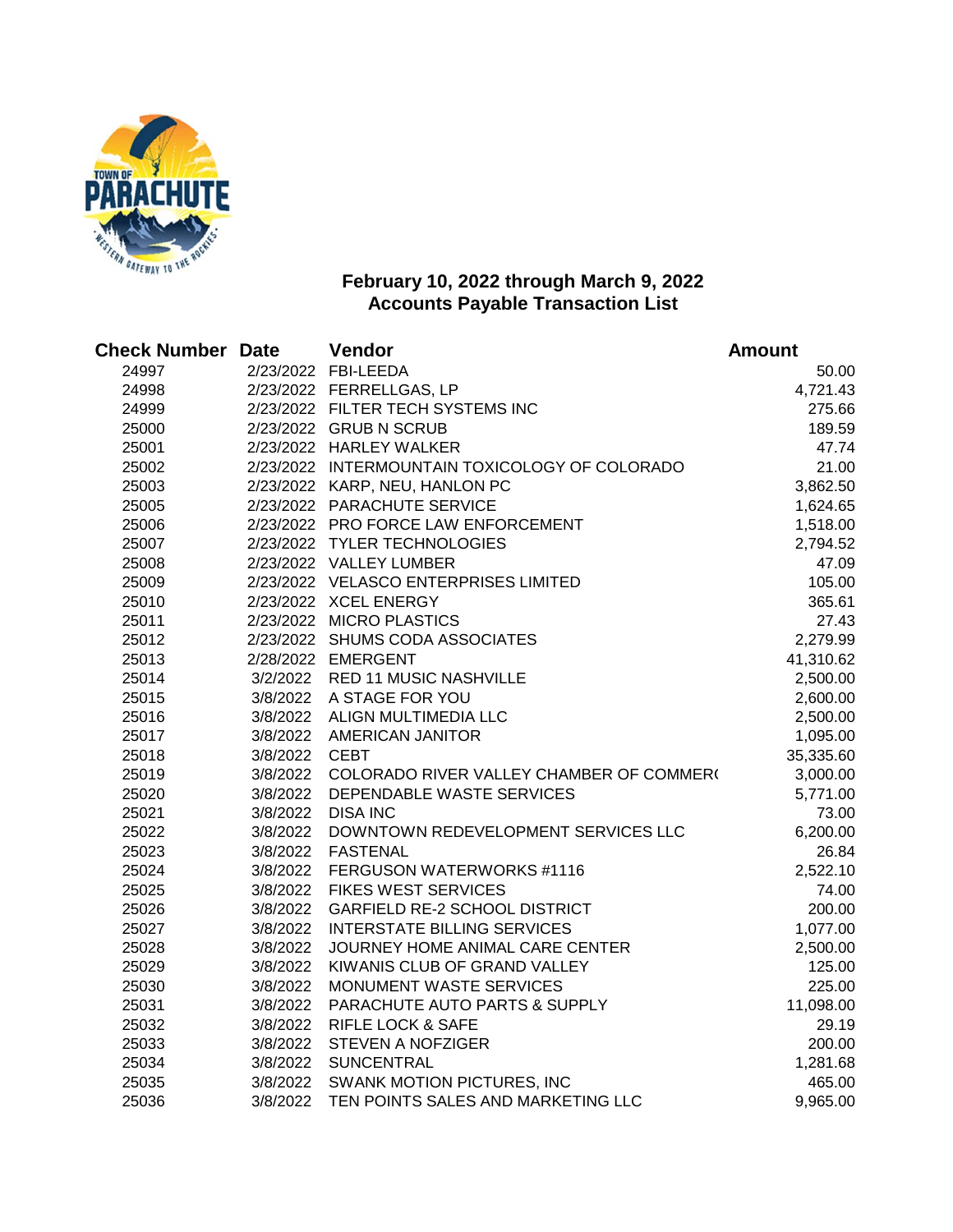

## **February 10, 2022 through March 9, 2022 Accounts Payable Transaction List**

| <b>Check Number Date</b> |               | Vendor                                            | <b>Amount</b> |
|--------------------------|---------------|---------------------------------------------------|---------------|
| 24997                    |               | 2/23/2022 FBI-LEEDA                               | 50.00         |
| 24998                    |               | 2/23/2022 FERRELLGAS, LP                          | 4,721.43      |
| 24999                    |               | 2/23/2022 FILTER TECH SYSTEMS INC                 | 275.66        |
| 25000                    |               | 2/23/2022 GRUB N SCRUB                            | 189.59        |
| 25001                    |               | 2/23/2022 HARLEY WALKER                           | 47.74         |
| 25002                    |               | 2/23/2022 INTERMOUNTAIN TOXICOLOGY OF COLORADO    | 21.00         |
| 25003                    |               | 2/23/2022 KARP, NEU, HANLON PC                    | 3,862.50      |
| 25005                    |               | 2/23/2022 PARACHUTE SERVICE                       | 1,624.65      |
| 25006                    |               | 2/23/2022 PRO FORCE LAW ENFORCEMENT               | 1,518.00      |
| 25007                    |               | 2/23/2022 TYLER TECHNOLOGIES                      | 2,794.52      |
| 25008                    |               | 2/23/2022 VALLEY LUMBER                           | 47.09         |
| 25009                    |               | 2/23/2022 VELASCO ENTERPRISES LIMITED             | 105.00        |
| 25010                    |               | 2/23/2022 XCEL ENERGY                             | 365.61        |
| 25011                    |               | 2/23/2022 MICRO PLASTICS                          | 27.43         |
| 25012                    |               | 2/23/2022 SHUMS CODA ASSOCIATES                   | 2,279.99      |
| 25013                    |               | 2/28/2022 EMERGENT                                | 41,310.62     |
| 25014                    |               | 3/2/2022 RED 11 MUSIC NASHVILLE                   | 2,500.00      |
| 25015                    |               | 3/8/2022 A STAGE FOR YOU                          | 2,600.00      |
| 25016                    |               | 3/8/2022 ALIGN MULTIMEDIA LLC                     | 2,500.00      |
| 25017                    |               | 3/8/2022 AMERICAN JANITOR                         | 1,095.00      |
| 25018                    | 3/8/2022 CEBT |                                                   | 35,335.60     |
| 25019                    |               | 3/8/2022 COLORADO RIVER VALLEY CHAMBER OF COMMER( | 3,000.00      |
| 25020                    |               | 3/8/2022 DEPENDABLE WASTE SERVICES                | 5,771.00      |
| 25021                    |               | 3/8/2022 DISA INC                                 | 73.00         |
| 25022                    | 3/8/2022      | DOWNTOWN REDEVELOPMENT SERVICES LLC               | 6,200.00      |
| 25023                    | 3/8/2022      | <b>FASTENAL</b>                                   | 26.84         |
| 25024                    |               | 3/8/2022 FERGUSON WATERWORKS #1116                | 2,522.10      |
| 25025                    | 3/8/2022      | <b>FIKES WEST SERVICES</b>                        | 74.00         |
| 25026                    | 3/8/2022      | <b>GARFIELD RE-2 SCHOOL DISTRICT</b>              | 200.00        |
| 25027                    | 3/8/2022      | <b>INTERSTATE BILLING SERVICES</b>                | 1,077.00      |
| 25028                    | 3/8/2022      | JOURNEY HOME ANIMAL CARE CENTER                   | 2,500.00      |
| 25029                    | 3/8/2022      | KIWANIS CLUB OF GRAND VALLEY                      | 125.00        |
| 25030                    | 3/8/2022      | MONUMENT WASTE SERVICES                           | 225.00        |
| 25031                    | 3/8/2022      | PARACHUTE AUTO PARTS & SUPPLY                     | 11,098.00     |
| 25032                    | 3/8/2022      | <b>RIFLE LOCK &amp; SAFE</b>                      | 29.19         |
| 25033                    | 3/8/2022      | <b>STEVEN A NOFZIGER</b>                          | 200.00        |
| 25034                    |               | 3/8/2022 SUNCENTRAL                               | 1,281.68      |
| 25035                    |               | 3/8/2022 SWANK MOTION PICTURES, INC               | 465.00        |
| 25036                    |               | 3/8/2022 TEN POINTS SALES AND MARKETING LLC       | 9,965.00      |